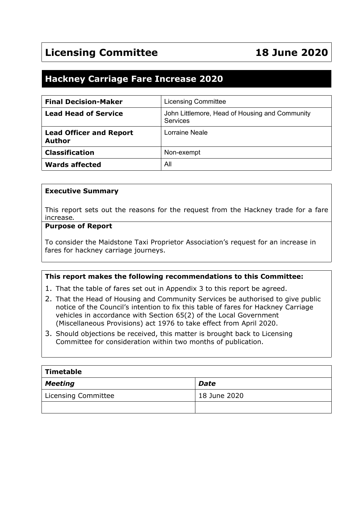# **Hackney Carriage Fare Increase 2020**

| <b>Final Decision-Maker</b>                     | <b>Licensing Committee</b>                                 |
|-------------------------------------------------|------------------------------------------------------------|
| <b>Lead Head of Service</b>                     | John Littlemore, Head of Housing and Community<br>Services |
| <b>Lead Officer and Report</b><br><b>Author</b> | Lorraine Neale                                             |
| <b>Classification</b>                           | Non-exempt                                                 |
| <b>Wards affected</b>                           | All                                                        |

#### **Executive Summary**

This report sets out the reasons for the request from the Hackney trade for a fare increase*.*

#### **Purpose of Report**

To consider the Maidstone Taxi Proprietor Association's request for an increase in fares for hackney carriage journeys.

#### **This report makes the following recommendations to this Committee:**

- 1. That the table of fares set out in Appendix 3 to this report be agreed.
- 2. That the Head of Housing and Community Services be authorised to give public notice of the Council's intention to fix this table of fares for Hackney Carriage vehicles in accordance with Section 65(2) of the Local Government (Miscellaneous Provisions) act 1976 to take effect from April 2020.
- 3. Should objections be received, this matter is brought back to Licensing Committee for consideration within two months of publication.

| $\mid$ Timetable    |              |  |  |
|---------------------|--------------|--|--|
| Meeting             | <b>Date</b>  |  |  |
| Licensing Committee | 18 June 2020 |  |  |
|                     |              |  |  |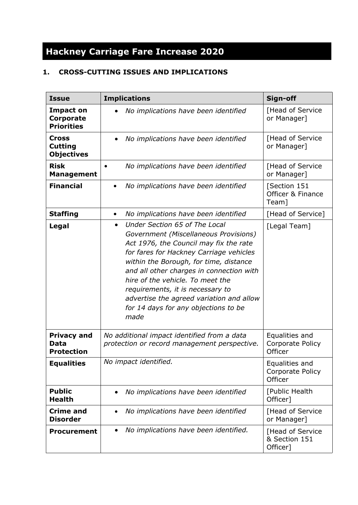# **Hackney Carriage Fare Increase 2020**

## **1. CROSS-CUTTING ISSUES AND IMPLICATIONS**

| <b>Issue</b>                                           | <b>Implications</b>                                                                                                                                                                                                                                                                                                                                                                                                                | Sign-off                                      |  |
|--------------------------------------------------------|------------------------------------------------------------------------------------------------------------------------------------------------------------------------------------------------------------------------------------------------------------------------------------------------------------------------------------------------------------------------------------------------------------------------------------|-----------------------------------------------|--|
| <b>Impact on</b><br>Corporate<br><b>Priorities</b>     | No implications have been identified                                                                                                                                                                                                                                                                                                                                                                                               | [Head of Service<br>or Manager]               |  |
| <b>Cross</b><br><b>Cutting</b><br><b>Objectives</b>    | No implications have been identified                                                                                                                                                                                                                                                                                                                                                                                               | [Head of Service<br>or Manager]               |  |
| <b>Risk</b><br><b>Management</b>                       | No implications have been identified                                                                                                                                                                                                                                                                                                                                                                                               | [Head of Service<br>or Manager]               |  |
| <b>Financial</b>                                       | No implications have been identified                                                                                                                                                                                                                                                                                                                                                                                               | [Section 151<br>Officer & Finance<br>Team]    |  |
| <b>Staffing</b>                                        | No implications have been identified<br>٠                                                                                                                                                                                                                                                                                                                                                                                          | [Head of Service]                             |  |
| Legal                                                  | Under Section 65 of The Local<br>$\bullet$<br>Government (Miscellaneous Provisions)<br>Act 1976, the Council may fix the rate<br>for fares for Hackney Carriage vehicles<br>within the Borough, for time, distance<br>and all other charges in connection with<br>hire of the vehicle. To meet the<br>requirements, it is necessary to<br>advertise the agreed variation and allow<br>for 14 days for any objections to be<br>made | [Legal Team]                                  |  |
| <b>Privacy and</b><br><b>Data</b><br><b>Protection</b> | No additional impact identified from a data<br>protection or record management perspective.                                                                                                                                                                                                                                                                                                                                        | Equalities and<br>Corporate Policy<br>Officer |  |
| <b>Equalities</b>                                      | No impact identified.                                                                                                                                                                                                                                                                                                                                                                                                              | Equalities and<br>Corporate Policy<br>Officer |  |
| <b>Public</b><br><b>Health</b>                         | No implications have been identified<br>$\bullet$                                                                                                                                                                                                                                                                                                                                                                                  | [Public Health<br>Officer]                    |  |
| <b>Crime and</b><br><b>Disorder</b>                    | No implications have been identified<br>$\bullet$                                                                                                                                                                                                                                                                                                                                                                                  | [Head of Service<br>or Manager]               |  |
| <b>Procurement</b>                                     | No implications have been identified.<br>$\bullet$                                                                                                                                                                                                                                                                                                                                                                                 | [Head of Service<br>& Section 151<br>Officer] |  |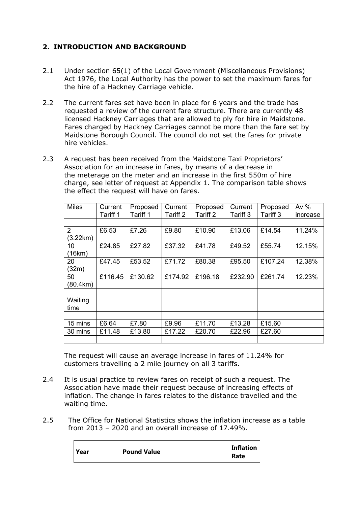### **2. INTRODUCTION AND BACKGROUND**

- 2.1 Under section 65(1) of the Local Government (Miscellaneous Provisions) Act 1976, the Local Authority has the power to set the maximum fares for the hire of a Hackney Carriage vehicle.
- 2.2 The current fares set have been in place for 6 years and the trade has requested a review of the current fare structure. There are currently 48 licensed Hackney Carriages that are allowed to ply for hire in Maidstone. Fares charged by Hackney Carriages cannot be more than the fare set by Maidstone Borough Council. The council do not set the fares for private hire vehicles.
- 2.3 A request has been received from the Maidstone Taxi Proprietors' Association for an increase in fares, by means of a decrease in the meterage on the meter and an increase in the first 550m of hire charge, see letter of request at Appendix 1. The comparison table shows the effect the request will have on fares.

| <b>Miles</b>   | Current  | Proposed | Current  | Proposed | Current  | Proposed | Av $%$   |
|----------------|----------|----------|----------|----------|----------|----------|----------|
|                | Tariff 1 | Tariff 1 | Tariff 2 | Tariff 2 | Tariff 3 | Tariff 3 | increase |
|                |          |          |          |          |          |          |          |
| $\overline{2}$ | £6.53    | £7.26    | £9.80    | £10.90   | £13.06   | £14.54   | 11.24%   |
| (3.22km)       |          |          |          |          |          |          |          |
| 10             | £24.85   | £27.82   | £37.32   | £41.78   | £49.52   | £55.74   | 12.15%   |
| (16km)         |          |          |          |          |          |          |          |
| 20             | £47.45   | £53.52   | £71.72   | £80.38   | £95.50   | £107.24  | 12.38%   |
| (32m)          |          |          |          |          |          |          |          |
| 50             | £116.45  | £130.62  | £174.92  | £196.18  | £232.90  | £261.74  | 12.23%   |
| (80.4km)       |          |          |          |          |          |          |          |
|                |          |          |          |          |          |          |          |
| Waiting        |          |          |          |          |          |          |          |
| time           |          |          |          |          |          |          |          |
|                |          |          |          |          |          |          |          |
| 15 mins        | £6.64    | £7.80    | £9.96    | £11.70   | £13.28   | £15.60   |          |
| 30 mins        | £11.48   | £13.80   | £17.22   | £20.70   | £22.96   | £27.60   |          |
|                |          |          |          |          |          |          |          |

The request will cause an average increase in fares of 11.24% for customers travelling a 2 mile journey on all 3 tariffs.

- 2.4 It is usual practice to review fares on receipt of such a request. The Association have made their request because of increasing effects of inflation. The change in fares relates to the distance travelled and the waiting time.
- 2.5 The Office for National Statistics shows the inflation increase as a table from 2013 – 2020 and an overall increase of 17.49%.

| Year | <b>Pound Value</b> | Inflation |
|------|--------------------|-----------|
|      |                    | Rate      |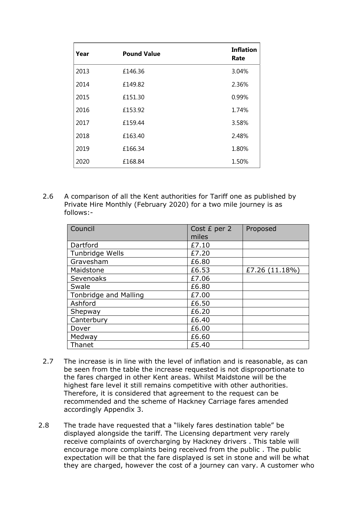| Year | <b>Pound Value</b> | <b>Inflation</b><br>Rate |
|------|--------------------|--------------------------|
| 2013 | £146.36            | 3.04%                    |
| 2014 | £149.82            | 2.36%                    |
| 2015 | £151.30            | 0.99%                    |
| 2016 | £153.92            | 1.74%                    |
| 2017 | £159.44            | 3.58%                    |
| 2018 | £163.40            | 2.48%                    |
| 2019 | £166.34            | 1.80%                    |
| 2020 | £168.84            | 1.50%                    |

2.6 A comparison of all the Kent authorities for Tariff one as published by Private Hire Monthly (February 2020) for a two mile journey is as follows:-

| Council               | Cost £ per 2<br>miles | Proposed       |
|-----------------------|-----------------------|----------------|
| Dartford              | £7.10                 |                |
| Tunbridge Wells       | £7.20                 |                |
| Gravesham             | £6.80                 |                |
| Maidstone             | £6.53                 | £7.26 (11.18%) |
| Sevenoaks             | £7.06                 |                |
| Swale                 | £6.80                 |                |
| Tonbridge and Malling | £7.00                 |                |
| Ashford               | £6.50                 |                |
| Shepway               | £6.20                 |                |
| Canterbury            | £6.40                 |                |
| Dover                 | £6.00                 |                |
| Medway                | £6.60                 |                |
| Thanet                | £5.40                 |                |

- 2.7 The increase is in line with the level of inflation and is reasonable, as can be seen from the table the increase requested is not disproportionate to the fares charged in other Kent areas. Whilst Maidstone will be the highest fare level it still remains competitive with other authorities. Therefore, it is considered that agreement to the request can be recommended and the scheme of Hackney Carriage fares amended accordingly Appendix 3.
- 2.8 The trade have requested that a "likely fares destination table" be displayed alongside the tariff. The Licensing department very rarely receive complaints of overcharging by Hackney drivers . This table will encourage more complaints being received from the public . The public expectation will be that the fare displayed is set in stone and will be what they are charged, however the cost of a journey can vary. A customer who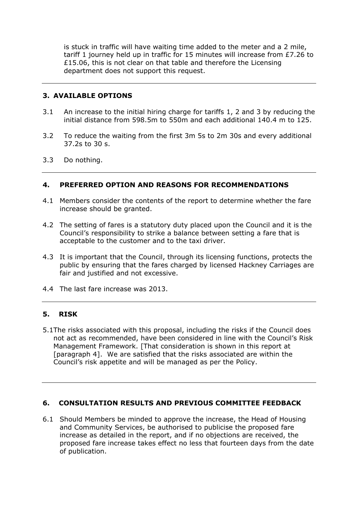is stuck in traffic will have waiting time added to the meter and a 2 mile, tariff 1 journey held up in traffic for 15 minutes will increase from £7.26 to £15.06, this is not clear on that table and therefore the Licensing department does not support this request.

#### **3. AVAILABLE OPTIONS**

- 3.1 An increase to the initial hiring charge for tariffs 1, 2 and 3 by reducing the initial distance from 598.5m to 550m and each additional 140.4 m to 125.
- 3.2 To reduce the waiting from the first 3m 5s to 2m 30s and every additional 37.2s to 30 s.
- 3.3 Do nothing.

#### **4. PREFERRED OPTION AND REASONS FOR RECOMMENDATIONS**

- 4.1 Members consider the contents of the report to determine whether the fare increase should be granted.
- 4.2 The setting of fares is a statutory duty placed upon the Council and it is the Council's responsibility to strike a balance between setting a fare that is acceptable to the customer and to the taxi driver.
- 4.3 It is important that the Council, through its licensing functions, protects the public by ensuring that the fares charged by licensed Hackney Carriages are fair and justified and not excessive.
- 4.4 The last fare increase was 2013.

### **5. RISK**

5.1The risks associated with this proposal, including the risks if the Council does not act as recommended, have been considered in line with the Council's Risk Management Framework. [That consideration is shown in this report at [paragraph 4]. We are satisfied that the risks associated are within the Council's risk appetite and will be managed as per the Policy.

#### **6. CONSULTATION RESULTS AND PREVIOUS COMMITTEE FEEDBACK**

6.1 Should Members be minded to approve the increase, the Head of Housing and Community Services, be authorised to publicise the proposed fare increase as detailed in the report, and if no objections are received, the proposed fare increase takes effect no less that fourteen days from the date of publication.